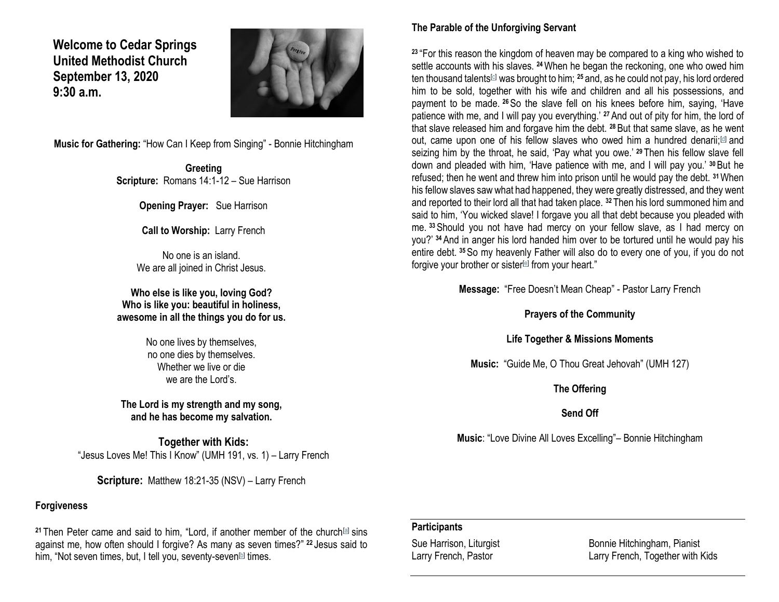**Welcome to Cedar Springs United Methodist Church September 13, 2020 9:30 a.m.** 



**Music for Gathering:** "How Can I Keep from Singing" - Bonnie Hitchingham

**Greeting Scripture:** Romans 14:1-12 – Sue Harrison

**Opening Prayer:** Sue Harrison

**Call to Worship:** Larry French

No one is an island. We are all joined in Christ Jesus.

**Who else is like you, loving God? Who is like you: beautiful in holiness, awesome in all the things you do for us.**

> No one lives by themselves, no one dies by themselves. Whether we live or die we are the Lord's.

**The Lord is my strength and my song, and he has become my salvation.**

**Together with Kids:** "Jesus Loves Me! This I Know" (UMH 191, vs. 1) – Larry French

**Scripture:** Matthew 18:21-35 (NSV) – Larry French

#### **Forgiveness**

**<sup>21</sup>** Then Peter came and said to him, "Lord, if another member of the church[\[a\]](https://www.biblegateway.com/passage/?search=Matthew+18%3A21-35&version=NRSV#fen-NRSV-23747a) sins against me, how often should I forgive? As many as seven times?" **<sup>22</sup>** Jesus said to him, "Not seven times, but, I tell you, seventy-seven<sup>[\[b\]](https://www.biblegateway.com/passage/?search=Matthew+18%3A21-35&version=NRSV#fen-NRSV-23748b)</sup> times.

### **The Parable of the Unforgiving Servant**

**<sup>23</sup>** "For this reason the kingdom of heaven may be compared to a king who wished to settle accounts with his slaves. **<sup>24</sup>**When he began the reckoning, one who owed him ten thousand talents[\[c\]](https://www.biblegateway.com/passage/?search=Matthew+18%3A21-35&version=NRSV#fen-NRSV-23750c) was brought to him; **<sup>25</sup>** and, as he could not pay, his lord ordered him to be sold, together with his wife and children and all his possessions, and payment to be made. **<sup>26</sup>**So the slave fell on his knees before him, saying, 'Have patience with me, and I will pay you everything.' **<sup>27</sup>**And out of pity for him, the lord of that slave released him and forgave him the debt. **<sup>28</sup>**But that same slave, as he went out, came upon one of his fellow slaves who owed him a hundred denarii;<sup>[\[d\]](https://www.biblegateway.com/passage/?search=Matthew+18%3A21-35&version=NRSV#fen-NRSV-23754d)</sup> and seizing him by the throat, he said, 'Pay what you owe.' **<sup>29</sup>** Then his fellow slave fell down and pleaded with him, 'Have patience with me, and I will pay you.' **<sup>30</sup>**But he refused; then he went and threw him into prison until he would pay the debt. **<sup>31</sup>**When his fellow slaves saw what had happened, they were greatly distressed, and they went and reported to their lord all that had taken place. **<sup>32</sup>** Then his lord summoned him and said to him, 'You wicked slave! I forgave you all that debt because you pleaded with me. **<sup>33</sup>**Should you not have had mercy on your fellow slave, as I had mercy on you?' **<sup>34</sup>**And in anger his lord handed him over to be tortured until he would pay his entire debt. **<sup>35</sup>**So my heavenly Father will also do to every one of you, if you do not forgive your brother or sister<sup>[\[e\]](https://www.biblegateway.com/passage/?search=Matthew+18%3A21-35&version=NRSV#fen-NRSV-23761e)</sup> from your heart."

**Message:** "Free Doesn't Mean Cheap" - Pastor Larry French

**Prayers of the Community**

**Life Together & Missions Moments**

**Music:** "Guide Me, O Thou Great Jehovah" (UMH 127)

**The Offering**

**Send Off**

**Music**: "Love Divine All Loves Excelling"– Bonnie Hitchingham

#### **Participants**

Sue Harrison, Liturgist **Bullet Bonnie Hitchingham, Pianist** Larry French, Pastor **Larry French, Together with Kids**